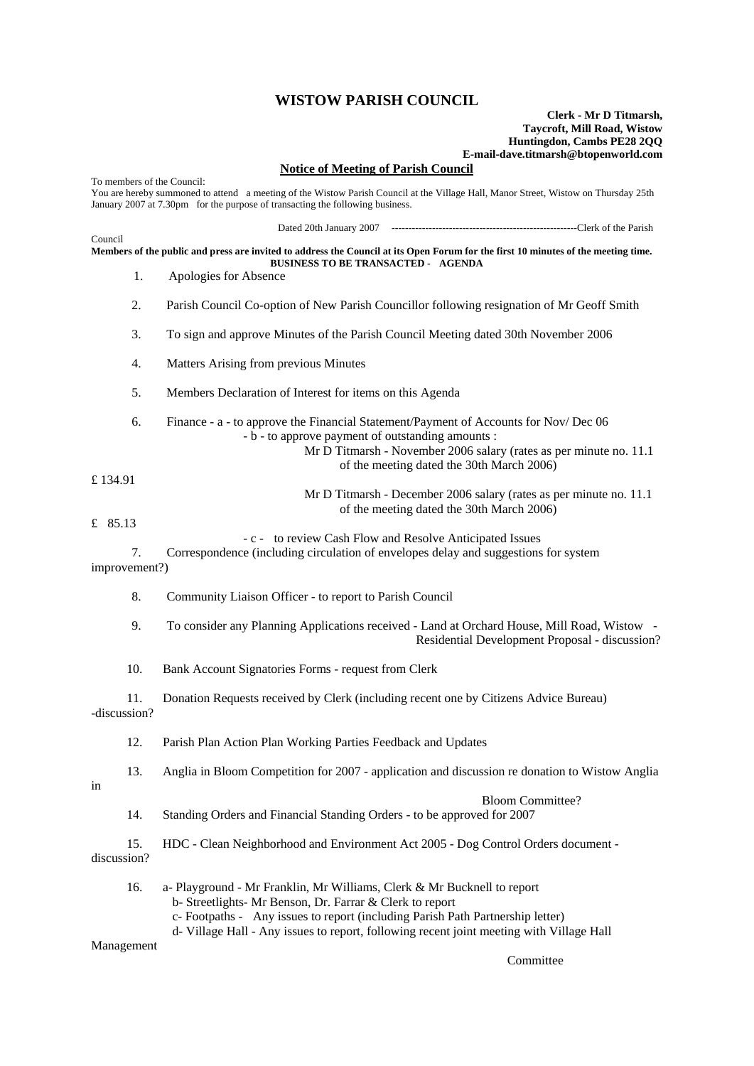## **WISTOW PARISH COUNCIL**

## **Clerk - Mr D Titmarsh, Taycroft, Mill Road, Wistow Huntingdon, Cambs PE28 2QQ E-mail-dave.titmarsh@btopenworld.com**

## **Notice of Meeting of Parish Council**

To members of the Council: You are hereby summoned to attend a meeting of the Wistow Parish Council at the Village Hall, Manor Street, Wistow on Thursday 25th January 2007 at 7.30pm for the purpose of transacting the following business. Dated 20th January 2007 -------------------------------------------------------Clerk of the Parish Council **Members of the public and press are invited to address the Council at its Open Forum for the first 10 minutes of the meeting time. BUSINESS TO BE TRANSACTED - AGENDA**  1. Apologies for Absence 2. Parish Council Co-option of New Parish Councillor following resignation of Mr Geoff Smith 3. To sign and approve Minutes of the Parish Council Meeting dated 30th November 2006 4. Matters Arising from previous Minutes 5. Members Declaration of Interest for items on this Agenda 6. Finance - a - to approve the Financial Statement/Payment of Accounts for Nov/ Dec 06 - b - to approve payment of outstanding amounts : Mr D Titmarsh - November 2006 salary (rates as per minute no. 11.1 of the meeting dated the 30th March 2006) £ 134.91 Mr D Titmarsh - December 2006 salary (rates as per minute no. 11.1 of the meeting dated the 30th March 2006) £ 85.13 - c - to review Cash Flow and Resolve Anticipated Issues 7. Correspondence (including circulation of envelopes delay and suggestions for system improvement?) 8. Community Liaison Officer - to report to Parish Council 9. To consider any Planning Applications received - Land at Orchard House, Mill Road, Wistow - Residential Development Proposal - discussion? 10. Bank Account Signatories Forms - request from Clerk 11. Donation Requests received by Clerk (including recent one by Citizens Advice Bureau) -discussion? 12. Parish Plan Action Plan Working Parties Feedback and Updates 13. Anglia in Bloom Competition for 2007 - application and discussion re donation to Wistow Anglia in Bloom Committee? 14. Standing Orders and Financial Standing Orders - to be approved for 2007 15. HDC - Clean Neighborhood and Environment Act 2005 - Dog Control Orders document discussion? 16. a- Playground - Mr Franklin, Mr Williams, Clerk & Mr Bucknell to report b- Streetlights- Mr Benson, Dr. Farrar & Clerk to report c- Footpaths - Any issues to report (including Parish Path Partnership letter) d- Village Hall - Any issues to report, following recent joint meeting with Village Hall

Management

**Committee**